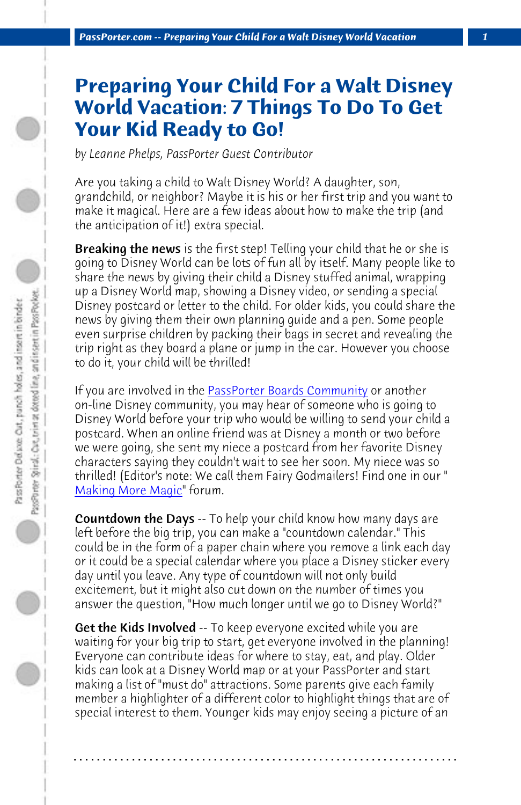*PassPorter.com -- Preparing Your Child For a Walt Disney World Vacation 1*

## **Preparing Your Child For a Walt Disney World Vacation: 7 Things To Do To Get Your Kid Ready to Go!**

*by Leanne Phelps, PassPor[ter Guest Contributor](http://www.passporterboards.com)*

Are you taking a child to Walt Disney World? A daughter, son, grandchild, or neighbor? Maybe it is his or her first trip and you want to make it magical. Here are a few ideas about how to make the trip (and the anticipation of it!) extra special.

**[Breaking the news](http://www.passporterboards.com/forums/making-more-magic-everything-else/)** is the first step! Telling your child that he or she is going to Disney World can be lots of fun all by itself. Many people like to share the news by giving their child a Disney stuffed animal, wrapping up a Disney World map, showing a Disney video, or sending a special Disney postcard or letter to the child. For older kids, you could share the news by giving them their own planning guide and a pen. Some people even surprise children by packing their bags in secret and revealing the trip right as they board a plane or jump in the car. However you choose to do it, your child will be thrilled!

If you are involved in the PassPorter Boards Community or another on-line Disney community, you may hear of someone who is going to Disney World before your trip who would be willing to send your child a postcard. When an online friend was at Disney a month or two before we were going, she sent my niece a postcard from her favorite Disney characters saying they couldn't wait to see her soon. My niece was so thrilled! (Editor's note: We call them Fairy Godmailers! Find one in our " Making More Magic" forum.

**Countdown the Days** -- To help your child know how many days are left before the big trip, you can make a "countdown calendar." This could be in the form of a paper chain where you remove a link each day or it could be a special calendar where you place a Disney sticker every day until you leave. Any type of countdown will not only build excitement, but it might also cut down on the number of times you answer the question, "How much longer until we go to Disney World?"

**Get the Kids Involved** -- To keep everyone excited while you are waiting for your big trip to start, get everyone involved in the planning! Everyone can contribute ideas for where to stay, eat, and play. Older kids can look at a Disney World map or at your PassPorter and start making a list of "must do" attractions. Some parents give each family member a highlighter of a different color to highlight things that are of special interest to them. Younger kids may enjoy seeing a picture of an

**. . . . . . . . . . . . . . . . . . . . . . . . . . . . . . . . . . . . . . . . . . . . . . . . . . . . . . . . . . . . . . . . . .**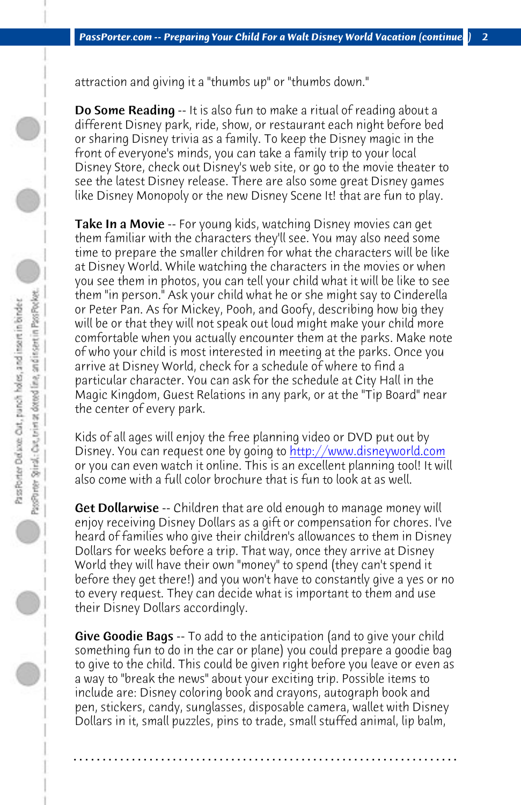*PassPorter.com -- Preparing Your Child For a Walt Disney World Vacation (continue*) 2

attraction and giving it a "thumbs up" or "thumbs down."

Do Some Reading -- It is also fun to make a ritual of reading about a different Disney park, ride, show, or restaurant each night before bed or sharing Disney trivia as a family. To keep the Disney magic in the front of everyone's minds, you can take a family trip to your local Disney Store, check out Disney's web site, or go to the movie theater to see the latest Disney release. There are also some great Disney games like Disney Monopoly or the new Disney Scene It! that are fun to play.

**Take In a Movie** -- For young kids, watc[hing Disney movies can get](http://www.disneyworld.com) them familiar with the characters they'll see. You may also need some time to prepare the smaller children for what the characters will be like at Disney World. While watching the characters in the movies or when you see them in photos, you can tell your child what it will be like to see them "in person." Ask your child what he or she might say to Cinderella or Peter Pan. As for Mickey, Pooh, and Goofy, describing how big they will be or that they will not speak out loud might make your child more comfortable when you actually encounter them at the parks. Make note of who your child is most interested in meeting at the parks. Once you arrive at Disney World, check for a schedule of where to find a particular character. You can ask for the schedule at City Hall in the Magic Kingdom, Guest Relations in any park, or at the "Tip Board" near the center of every park.

Kids of all ages will enjoy the free planning video or DVD put out by Disney. You can request one by going to http://www.disneyworld.com or you can even watch it online. This is an excellent planning tool! It will also come with a full color brochure that is fun to look at as well.

Get Dollarwise -- Children that are old enough to manage money will enjoy receiving Disney Dollars as a gift or compensation for chores. I've heard of families who give their children's allowances to them in Disney Dollars for weeks before a trip. That way, once they arrive at Disney World they will have their own "money" to spend (they can't spend it before they get there!) and you won't have to constantly give a yes or no to every request. They can decide what is important to them and use their Disney Dollars accordingly.

Give Goodie Bags -- To add to the anticipation (and to give your child something fun to do in the car or plane) you could prepare a goodie bag to give to the child. This could be given right before you leave or even as a way to "break the news" about your exciting trip. Possible items to include are: Disney coloring book and crayons, autograph book and pen, stickers, candy, sunglasses, disposable camera, wallet with Disney Dollars in it, small puzzles, pins to trade, small stuffed animal, lip balm,

**. . . . . . . . . . . . . . . . . . . . . . . . . . . . . . . . . . . . . . . . . . . . . . . . . . . . . . . . . . . . . . . . . .**